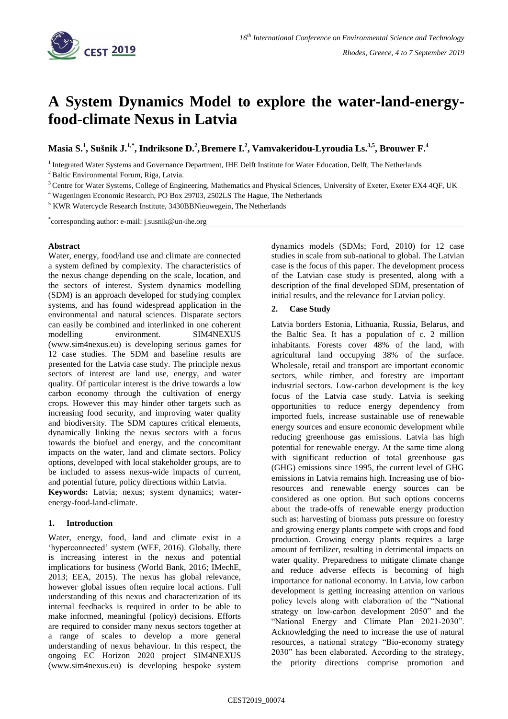

# **A System Dynamics Model to explore the water-land-energyfood-climate Nexus in Latvia**

 $\mathbf{M}$ asia S.<sup>1</sup>, Sušnik J.<sup>1,\*</sup>, Indriksone D.<sup>2</sup>, Bremere I.<sup>2</sup>, Vamvakeridou-Lyroudia Ls.<sup>3,5</sup>, Brouwer F.<sup>4</sup>

<sup>1</sup> Integrated Water Systems and Governance Department, IHE Delft Institute for Water Education, Delft, The Netherlands

<sup>2</sup> Baltic Environmental Forum, Riga, Latvia.

- <sup>3</sup> Centre for Water Systems, College of Engineering, Mathematics and Physical Sciences, University of Exeter, Exeter EX4 4QF, UK
- <sup>4</sup> Wageningen Economic Research, PO Box 29703, 2502LS The Hague, The Netherlands

<sup>5</sup> KWR Watercycle Research Institute, 3430BBNieuwegein, The Netherlands

\* corresponding author: e-mail: j.susnik@un-ihe.org

#### **Abstract**

Water, energy, food/land use and climate are connected a system defined by complexity. The characteristics of the nexus change depending on the scale, location, and the sectors of interest. System dynamics modelling (SDM) is an approach developed for studying complex systems, and has found widespread application in the environmental and natural sciences. Disparate sectors can easily be combined and interlinked in one coherent modelling environment. SIM4NEXUS (www.sim4nexus.eu) is developing serious games for 12 case studies. The SDM and baseline results are presented for the Latvia case study. The principle nexus sectors of interest are land use, energy, and water quality. Of particular interest is the drive towards a low carbon economy through the cultivation of energy crops. However this may hinder other targets such as increasing food security, and improving water quality and biodiversity. The SDM captures critical elements, dynamically linking the nexus sectors with a focus towards the biofuel and energy, and the concomitant impacts on the water, land and climate sectors. Policy options, developed with local stakeholder groups, are to be included to assess nexus-wide impacts of current, and potential future, policy directions within Latvia.

**Keywords:** Latvia; nexus; system dynamics; waterenergy-food-land-climate.

## **1. Introduction**

Water, energy, food, land and climate exist in a 'hyperconnected' system (WEF, 2016). Globally, there is increasing interest in the nexus and potential implications for business (World Bank, 2016; IMechE, 2013; EEA, 2015). The nexus has global relevance, however global issues often require local actions. Full understanding of this nexus and characterization of its internal feedbacks is required in order to be able to make informed, meaningful (policy) decisions. Efforts are required to consider many nexus sectors together at a range of scales to develop a more general understanding of nexus behaviour. In this respect, the ongoing EC Horizon 2020 project SIM4NEXUS (www.sim4nexus.eu) is developing bespoke system

dynamics models (SDMs; Ford, 2010) for 12 case studies in scale from sub-national to global. The Latvian case is the focus of this paper. The development process of the Latvian case study is presented, along with a description of the final developed SDM, presentation of initial results, and the relevance for Latvian policy.

#### **2. Case Study**

Latvia borders Estonia, Lithuania, Russia, Belarus, and the Baltic Sea. It has a population of c. 2 million inhabitants. Forests cover 48% of the land, with agricultural land occupying 38% of the surface. Wholesale, retail and transport are important economic sectors, while timber, and forestry are important industrial sectors. Low-carbon development is the key focus of the Latvia case study. Latvia is seeking opportunities to reduce energy dependency from imported fuels, increase sustainable use of renewable energy sources and ensure economic development while reducing greenhouse gas emissions. Latvia has high potential for renewable energy. At the same time along with significant reduction of total greenhouse gas (GHG) emissions since 1995, the current level of GHG emissions in Latvia remains high. Increasing use of bioresources and renewable energy sources can be considered as one option. But such options concerns about the trade-offs of renewable energy production such as: harvesting of biomass puts pressure on forestry and growing energy plants compete with crops and food production. Growing energy plants requires a large amount of fertilizer, resulting in detrimental impacts on water quality. Preparedness to mitigate climate change and reduce adverse effects is becoming of high importance for national economy. In Latvia, low carbon development is getting increasing attention on various policy levels along with elaboration of the "National strategy on low-carbon development 2050" and the "National Energy and Climate Plan 2021-2030". Acknowledging the need to increase the use of natural resources, a national strategy "Bio-economy strategy 2030" has been elaborated. According to the strategy, the priority directions comprise promotion and